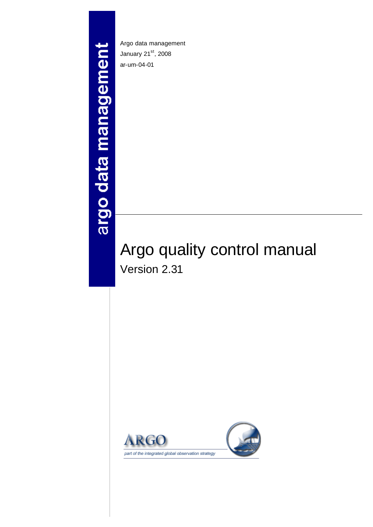# argo data management

Argo data management January 21st, 2008 ar-um-04-01

# Argo quality control manual Version 2.31

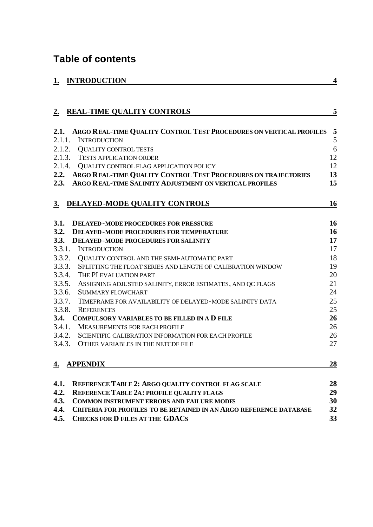# **Table of contents**

| <b>INTRODUCTION</b> |
|---------------------|
|---------------------|

| 2.        | <b>REAL-TIME QUALITY CONTROLS</b>                                         | 5         |
|-----------|---------------------------------------------------------------------------|-----------|
| 2.1.      | ARGO REAL-TIME QUALITY CONTROL TEST PROCEDURES ON VERTICAL PROFILES       | 5         |
| 2.1.1.    | <b>INTRODUCTION</b>                                                       | 5         |
| 2.1.2.    | <b>QUALITY CONTROL TESTS</b>                                              | 6         |
|           | 2.1.3. TESTS APPLICATION ORDER                                            | 12        |
|           | 2.1.4. QUALITY CONTROL FLAG APPLICATION POLICY                            | 12        |
| 2.2.      | ARGO REAL-TIME QUALITY CONTROL TEST PROCEDURES ON TRAJECTORIES            | 13        |
| 2.3.      | ARGO REAL-TIME SALINITY ADJUSTMENT ON VERTICAL PROFILES                   | 15        |
| <u>3.</u> | <b>DELAYED-MODE QUALITY CONTROLS</b>                                      | 16        |
| 3.1.      | <b>DELAYED-MODE PROCEDURES FOR PRESSURE</b>                               | 16        |
| 3.2.      | <b>DELAYED-MODE PROCEDURES FOR TEMPERATURE</b>                            | 16        |
| 3.3.      | <b>DELAYED-MODE PROCEDURES FOR SALINITY</b>                               | 17        |
| 3.3.1.    | <b>INTRODUCTION</b>                                                       | 17        |
| 3.3.2.    | QUALITY CONTROL AND THE SEMI-AUTOMATIC PART                               | 18        |
| 3.3.3.    | SPLITTING THE FLOAT SERIES AND LENGTH OF CALIBRATION WINDOW               | 19        |
| 3.3.4.    | THE PI EVALUATION PART                                                    | 20        |
| 3.3.5.    | ASSIGNING ADJUSTED SALINITY, ERROR ESTIMATES, AND QC FLAGS                | 21        |
| 3.3.6.    | <b>SUMMARY FLOWCHART</b>                                                  | 24        |
| 3.3.7.    | TIMEFRAME FOR AVAILABILITY OF DELAYED-MODE SALINITY DATA                  | 25        |
| 3.3.8.    | <b>REFERENCES</b>                                                         | 25        |
| 3.4.      | <b>COMPULSORY VARIABLES TO BE FILLED IN A D FILE</b>                      | 26        |
| 3.4.1.    | <b>MEASUREMENTS FOR EACH PROFILE</b>                                      | 26        |
| 3.4.2.    | SCIENTIFIC CALIBRATION INFORMATION FOR EACH PROFILE                       | 26        |
| 3.4.3.    | OTHER VARIABLES IN THE NETCDF FILE                                        | 27        |
| <u>4.</u> | <b>APPENDIX</b>                                                           | <u>28</u> |
| 4.1.      | REFERENCE TABLE 2: ARGO QUALITY CONTROL FLAG SCALE                        | 28        |
| 4.2.      | <b>REFERENCE TABLE 2A: PROFILE QUALITY FLAGS</b>                          | 29        |
| 4.3.      | <b>COMMON INSTRUMENT ERRORS AND FAILURE MODES</b>                         | 30        |
| 4.4.      | <b>CRITERIA FOR PROFILES TO BE RETAINED IN AN ARGO REFERENCE DATABASE</b> | 32        |
| 4.5.      | <b>CHECKS FOR D FILES AT THE GDACS</b>                                    | 33        |

**1. 1. 1. International** *A*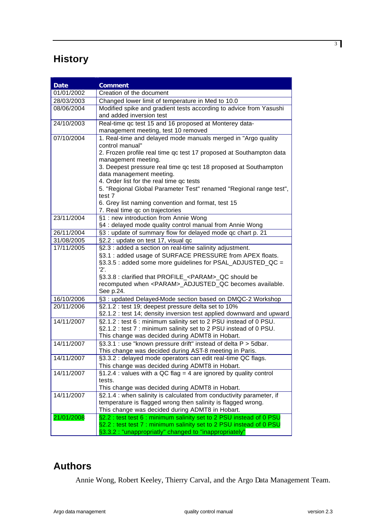# **History**

| <b>Date</b>                                       | <b>Comment</b>                                                                                                         |  |  |
|---------------------------------------------------|------------------------------------------------------------------------------------------------------------------------|--|--|
| 01/01/2002                                        | Creation of the document                                                                                               |  |  |
| 28/03/2003                                        | Changed lower limit of temperature in Med to 10.0                                                                      |  |  |
| 08/06/2004                                        | Modified spike and gradient tests according to advice from Yasushi                                                     |  |  |
|                                                   | and added inversion test                                                                                               |  |  |
| 24/10/2003                                        | Real-time qc test 15 and 16 proposed at Monterey data-                                                                 |  |  |
|                                                   | management meeting, test 10 removed                                                                                    |  |  |
| 07/10/2004                                        | 1. Real-time and delayed mode manuals merged in "Argo quality                                                          |  |  |
|                                                   | control manual"                                                                                                        |  |  |
|                                                   | 2. Frozen profile real time qc test 17 proposed at Southampton data                                                    |  |  |
|                                                   | management meeting.                                                                                                    |  |  |
|                                                   | 3. Deepest pressure real time qc test 18 proposed at Southampton<br>data management meeting.                           |  |  |
|                                                   | 4. Order list for the real time qc tests                                                                               |  |  |
|                                                   | 5. "Regional Global Parameter Test" renamed "Regional range test",                                                     |  |  |
|                                                   | test 7                                                                                                                 |  |  |
|                                                   | 6. Grey list naming convention and format, test 15                                                                     |  |  |
|                                                   | 7. Real time qc on trajectories                                                                                        |  |  |
| 23/11/2004                                        | §1 : new introduction from Annie Wong                                                                                  |  |  |
|                                                   | §4 : delayed mode quality control manual from Annie Wong                                                               |  |  |
| 26/11/2004                                        | §3 : update of summary flow for delayed mode qc chart p. 21                                                            |  |  |
| 31/08/2005<br>§2.2 : update on test 17, visual qc |                                                                                                                        |  |  |
| 17/11/2005                                        | §2.3 : added a section on real-time salinity adjustment.                                                               |  |  |
|                                                   | §3.1 : added usage of SURFACE PRESSURE from APEX floats.                                                               |  |  |
|                                                   | §3.3.5 : added some more guidelines for PSAL_ADJUSTED_QC =<br>'2'.                                                     |  |  |
|                                                   | §3.3.8 : clarified that PROFILE_ <param/> _QC should be                                                                |  |  |
|                                                   | recomputed when <param/> _ADJUSTED_QC becomes available.                                                               |  |  |
|                                                   | See p.24.                                                                                                              |  |  |
| 16/10/2006                                        | §3 : updated Delayed-Mode section based on DMQC-2 Workshop                                                             |  |  |
| 20/11/2006                                        | §2.1.2 : test 19; deepest pressure delta set to 10%                                                                    |  |  |
|                                                   | §2.1.2 : test 14; density inversion test applied downward and upward                                                   |  |  |
| 14/11/2007                                        | §2.1.2 : test 6 : minimum salinity set to 2 PSU instead of 0 PSU.                                                      |  |  |
|                                                   | §2.1.2 : test 7 : minimum salinity set to 2 PSU instead of 0 PSU.                                                      |  |  |
|                                                   | This change was decided during ADMT8 in Hobart.                                                                        |  |  |
| 14/11/2007                                        | §3.3.1 : use "known pressure drift" instead of delta P > 5dbar.                                                        |  |  |
| 14/11/2007                                        | This change was decided during AST-8 meeting in Paris.<br>§3.3.2 : delayed mode operators can edit real-time QC flags. |  |  |
|                                                   | This change was decided during ADMT8 in Hobart.                                                                        |  |  |
| 14/11/2007                                        | $§1.2.4$ : values with a QC flag = 4 are ignored by quality control                                                    |  |  |
|                                                   | tests.                                                                                                                 |  |  |
|                                                   | This change was decided during ADMT8 in Hobart.                                                                        |  |  |
| 14/11/2007                                        | §2.1.4 : when salinity is calculated from conductivity parameter, if                                                   |  |  |
|                                                   | temperature is flagged wrong then salinity is flagged wrong.                                                           |  |  |
|                                                   | This change was decided during ADMT8 in Hobart.                                                                        |  |  |
| 21/01/2008                                        | §2.2 : test test 6 : minimum salinity set to 2 PSU instead of 0 PSU                                                    |  |  |
|                                                   | §2.2 : test test 7 : minimum salinity set to 2 PSU instead of 0 PSU                                                    |  |  |
|                                                   | §3.3.2 : "unappropriatly" changed to "inappropriately"                                                                 |  |  |

# **Authors**

Annie Wong, Robert Keeley, Thierry Carval, and the Argo Data Management Team.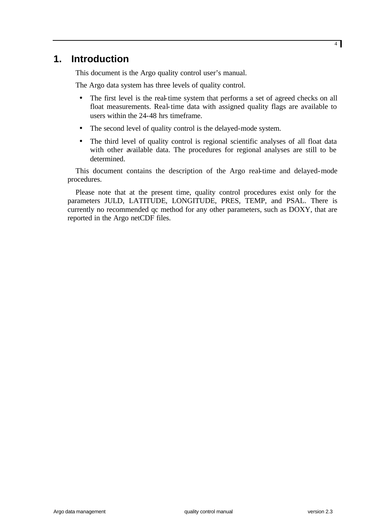# **1. Introduction**

This document is the Argo quality control user's manual.

The Argo data system has three levels of quality control.

- The first level is the real-time system that performs a set of agreed checks on all float measurements. Real-time data with assigned quality flags are available to users within the 24-48 hrs timeframe.
- The second level of quality control is the delayed-mode system.
- The third level of quality control is regional scientific analyses of all float data with other available data. The procedures for regional analyses are still to be determined.

This document contains the description of the Argo real-time and delayed-mode procedures.

Please note that at the present time, quality control procedures exist only for the parameters JULD, LATITUDE, LONGITUDE, PRES, TEMP, and PSAL. There is currently no recommended qc method for any other parameters, such as DOXY, that are reported in the Argo netCDF files.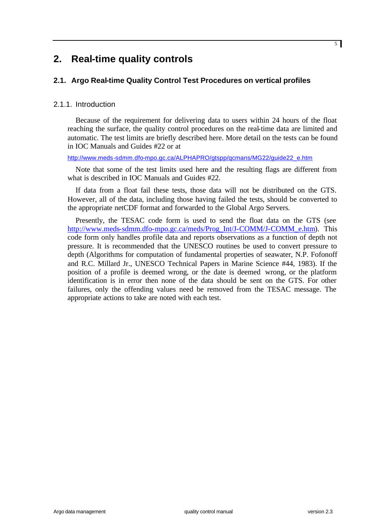# **2. Real-time quality controls**

# **2.1. Argo Real-time Quality Control Test Procedures on vertical profiles**

# 2.1.1. Introduction

Because of the requirement for delivering data to users within 24 hours of the float reaching the surface, the quality control procedures on the real-time data are limited and automatic. The test limits are briefly described here. More detail on the tests can be found in IOC Manuals and Guides #22 or at

http://www.meds-sdmm.dfo-mpo.gc.ca/ALPHAPRO/gtspp/gcmans/MG22/guide22\_e.htm

Note that some of the test limits used here and the resulting flags are different from what is described in IOC Manuals and Guides #22.

If data from a float fail these tests, those data will not be distributed on the GTS. However, all of the data, including those having failed the tests, should be converted to the appropriate netCDF format and forwarded to the Global Argo Servers.

Presently, the TESAC code form is used to send the float data on the GTS (see http://www.meds-sdmm.dfo-mpo.gc.ca/meds/Prog\_Int/J-COMM/J-COMM\_e.htm). This code form only handles profile data and reports observations as a function of depth not pressure. It is recommended that the UNESCO routines be used to convert pressure to depth (Algorithms for computation of fundamental properties of seawater, N.P. Fofonoff and R.C. Millard Jr., UNESCO Technical Papers in Marine Science #44, 1983). If the position of a profile is deemed wrong, or the date is deemed wrong, or the platform identification is in error then none of the data should be sent on the GTS. For other failures, only the offending values need be removed from the TESAC message. The appropriate actions to take are noted with each test.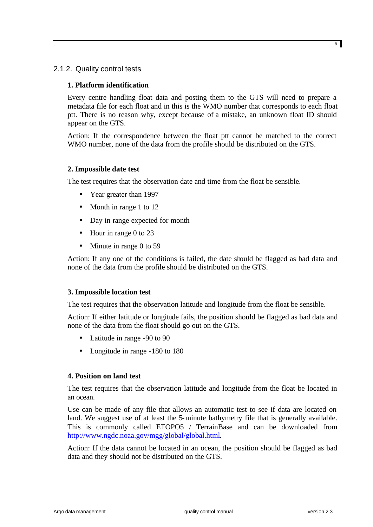# 2.1.2. Quality control tests

# **1. Platform identification**

Every centre handling float data and posting them to the GTS will need to prepare a metadata file for each float and in this is the WMO number that corresponds to each float ptt. There is no reason why, except because of a mistake, an unknown float ID should appear on the GTS.

Action: If the correspondence between the float ptt cannot be matched to the correct WMO number, none of the data from the profile should be distributed on the GTS.

# **2. Impossible date test**

The test requires that the observation date and time from the float be sensible.

- Year greater than 1997
- Month in range 1 to 12
- Day in range expected for month
- Hour in range 0 to 23
- Minute in range 0 to 59

Action: If any one of the conditions is failed, the date should be flagged as bad data and none of the data from the profile should be distributed on the GTS.

# **3. Impossible location test**

The test requires that the observation latitude and longitude from the float be sensible.

Action: If either latitude or longitude fails, the position should be flagged as bad data and none of the data from the float should go out on the GTS.

- Latitude in range -90 to 90
- Longitude in range -180 to 180

# **4. Position on land test**

The test requires that the observation latitude and longitude from the float be located in an ocean.

Use can be made of any file that allows an automatic test to see if data are located on land. We suggest use of at least the 5-minute bathymetry file that is generally available. This is commonly called ETOPO5 / TerrainBase and can be downloaded from http://www.ngdc.noaa.gov/mgg/global/global.html.

Action: If the data cannot be located in an ocean, the position should be flagged as bad data and they should not be distributed on the GTS.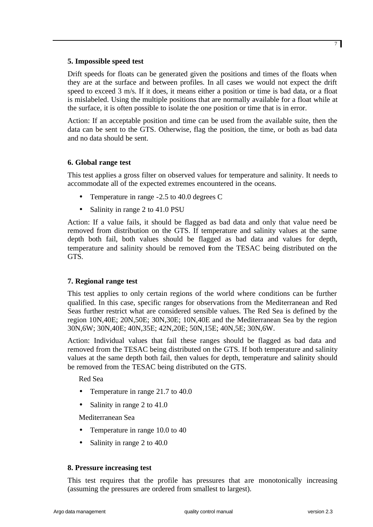Drift speeds for floats can be generated given the positions and times of the floats when they are at the surface and between profiles. In all cases we would not expect the drift speed to exceed 3 m/s. If it does, it means either a position or time is bad data, or a float is mislabeled. Using the multiple positions that are normally available for a float while at the surface, it is often possible to isolate the one position or time that is in error.

Action: If an acceptable position and time can be used from the available suite, then the data can be sent to the GTS. Otherwise, flag the position, the time, or both as bad data and no data should be sent.

# **6. Global range test**

This test applies a gross filter on observed values for temperature and salinity. It needs to accommodate all of the expected extremes encountered in the oceans.

- Temperature in range -2.5 to 40.0 degrees C
- Salinity in range 2 to 41.0 PSU

Action: If a value fails, it should be flagged as bad data and only that value need be removed from distribution on the GTS. If temperature and salinity values at the same depth both fail, both values should be flagged as bad data and values for depth, temperature and salinity should be removed from the TESAC being distributed on the GTS.

# **7. Regional range test**

This test applies to only certain regions of the world where conditions can be further qualified. In this case, specific ranges for observations from the Mediterranean and Red Seas further restrict what are considered sensible values. The Red Sea is defined by the region 10N,40E; 20N,50E; 30N,30E; 10N,40E and the Mediterranean Sea by the region 30N,6W; 30N,40E; 40N,35E; 42N,20E; 50N,15E; 40N,5E; 30N,6W.

Action: Individual values that fail these ranges should be flagged as bad data and removed from the TESAC being distributed on the GTS. If both temperature and salinity values at the same depth both fail, then values for depth, temperature and salinity should be removed from the TESAC being distributed on the GTS.

Red Sea

- Temperature in range 21.7 to 40.0
- Salinity in range 2 to 41.0

Mediterranean Sea

- Temperature in range 10.0 to 40
- Salinity in range 2 to 40.0

# **8. Pressure increasing test**

This test requires that the profile has pressures that are monotonically increasing (assuming the pressures are ordered from smallest to largest).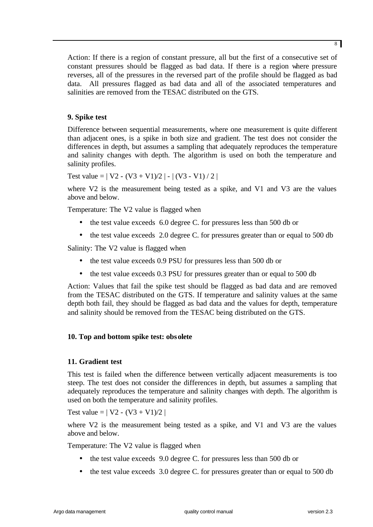Action: If there is a region of constant pressure, all but the first of a consecutive set of constant pressures should be flagged as bad data. If there is a region where pressure reverses, all of the pressures in the reversed part of the profile should be flagged as bad data. All pressures flagged as bad data and all of the associated temperatures and salinities are removed from the TESAC distributed on the GTS.

# **9. Spike test**

Difference between sequential measurements, where one measurement is quite different than adjacent ones, is a spike in both size and gradient. The test does not consider the differences in depth, but assumes a sampling that adequately reproduces the temperature and salinity changes with depth. The algorithm is used on both the temperature and salinity profiles.

Test value =  $| V2 - (V3 + V1)/2 | - | (V3 - V1)/2 |$ 

where V2 is the measurement being tested as a spike, and V1 and V3 are the values above and below.

Temperature: The V2 value is flagged when

- the test value exceeds 6.0 degree C. for pressures less than 500 db or
- the test value exceeds 2.0 degree C. for pressures greater than or equal to 500 db

Salinity: The V2 value is flagged when

- the test value exceeds 0.9 PSU for pressures less than 500 db or
- the test value exceeds 0.3 PSU for pressures greater than or equal to 500 db

Action: Values that fail the spike test should be flagged as bad data and are removed from the TESAC distributed on the GTS. If temperature and salinity values at the same depth both fail, they should be flagged as bad data and the values for depth, temperature and salinity should be removed from the TESAC being distributed on the GTS.

# **10. Top and bottom spike test: obsolete**

# **11. Gradient test**

This test is failed when the difference between vertically adjacent measurements is too steep. The test does not consider the differences in depth, but assumes a sampling that adequately reproduces the temperature and salinity changes with depth. The algorithm is used on both the temperature and salinity profiles.

Test value =  $|V2 - (V3 + V1)/2|$ 

where V2 is the measurement being tested as a spike, and V1 and V3 are the values above and below.

Temperature: The V2 value is flagged when

- the test value exceeds 9.0 degree C. for pressures less than 500 db or
- the test value exceeds 3.0 degree C. for pressures greater than or equal to 500 db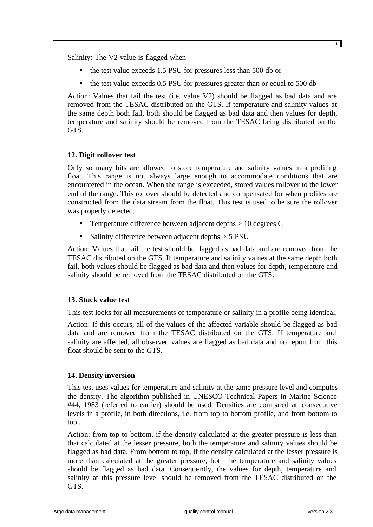Salinity: The V2 value is flagged when

- the test value exceeds 1.5 PSU for pressures less than 500 db or
- the test value exceeds 0.5 PSU for pressures greater than or equal to 500 db

Action: Values that fail the test (i.e. value V2) should be flagged as bad data and are removed from the TESAC distributed on the GTS. If temperature and salinity values at the same depth both fail, both should be flagged as bad data and then values for depth, temperature and salinity should be removed from the TESAC being distributed on the GTS.

# **12. Digit rollover test**

Only so many bits are allowed to store temperature and salinity values in a profiling float. This range is not always large enough to accommodate conditions that are encountered in the ocean. When the range is exceeded, stored values rollover to the lower end of the range. This rollover should be detected and compensated for when profiles are constructed from the data stream from the float. This test is used to be sure the rollover was properly detected.

- Temperature difference between adjacent depths > 10 degrees C
- Salinity difference between adjacent depths  $> 5$  PSU

Action: Values that fail the test should be flagged as bad data and are removed from the TESAC distributed on the GTS. If temperature and salinity values at the same depth both fail, both values should be flagged as bad data and then values for depth, temperature and salinity should be removed from the TESAC distributed on the GTS.

# **13. Stuck value test**

This test looks for all measurements of temperature or salinity in a profile being identical.

Action: If this occurs, all of the values of the affected variable should be flagged as bad data and are removed from the TESAC distributed on the GTS. If temperature and salinity are affected, all observed values are flagged as bad data and no report from this float should be sent to the GTS.

# **14. Density inversion**

This test uses values for temperature and salinity at the same pressure level and computes the density. The algorithm published in UNESCO Technical Papers in Marine Science #44, 1983 (referred to earlier) should be used. Densities are compared at consecutive levels in a profile, in both directions, i.e. from top to bottom profile, and from bottom to top..

Action: from top to bottom, if the density calculated at the greater pressure is less than that calculated at the lesser pressure, both the temperature and salinity values should be flagged as bad data. From bottom to top, if the density calculated at the lesser pressure is more than calculated at the greater pressure, both the temperature and salinity values should be flagged as bad data. Consequently, the values for depth, temperature and salinity at this pressure level should be removed from the TESAC distributed on the GTS.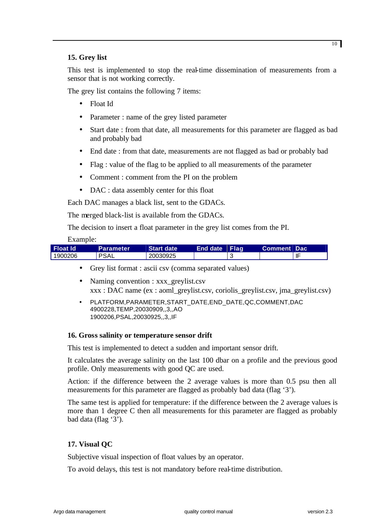# **15. Grey list**

This test is implemented to stop the real-time dissemination of measurements from a sensor that is not working correctly.

The grey list contains the following 7 items:

- Float Id
- Parameter : name of the grey listed parameter
- Start date : from that date, all measurements for this parameter are flagged as bad and probably bad
- End date : from that date, measurements are not flagged as bad or probably bad
- Flag : value of the flag to be applied to all measurements of the parameter
- Comment : comment from the PI on the problem
- DAC : data assembly center for this float

Each DAC manages a black list, sent to the GDACs.

The merged black-list is available from the GDACs.

The decision to insert a float parameter in the grey list comes from the PI.

# Example:

| l Float Id | <b>Parameter</b> | <b>Start date</b> | <b>End date</b> Flag | <b>Comment Dac</b> |    |
|------------|------------------|-------------------|----------------------|--------------------|----|
| ່ 1900206  | <b>PSAL</b>      | 20030925          |                      |                    | IF |

- Grey list format : ascii csv (comma separated values)
- Naming convention : xxx\_greylist.csv xxx : DAC name (ex : aoml\_greylist.csv, coriolis\_greylist.csv, jma\_greylist.csv)
- PLATFORM,PARAMETER,START\_DATE,END\_DATE,QC,COMMENT,DAC 4900228,TEMP,20030909,,3,,AO 1900206,PSAL,20030925,,3,,IF

# **16. Gross salinity or temperature sensor drift**

This test is implemented to detect a sudden and important sensor drift.

It calculates the average salinity on the last 100 dbar on a profile and the previous good profile. Only measurements with good QC are used.

Action: if the difference between the 2 average values is more than 0.5 psu then all measurements for this parameter are flagged as probably bad data (flag '3').

The same test is applied for temperature: if the difference between the 2 average values is more than 1 degree C then all measurements for this parameter are flagged as probably bad data (flag '3').

# **17. Visual QC**

Subjective visual inspection of float values by an operator.

To avoid delays, this test is not mandatory before real-time distribution.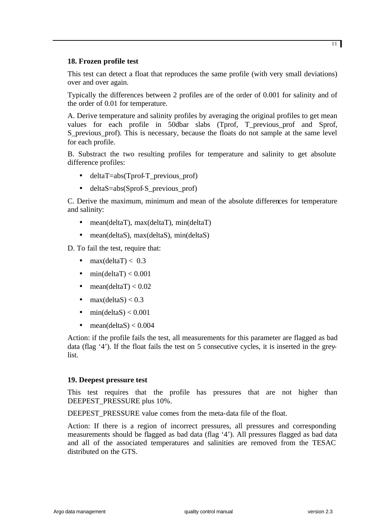# **18. Frozen profile test**

This test can detect a float that reproduces the same profile (with very small deviations) over and over again.

Typically the differences between 2 profiles are of the order of 0.001 for salinity and of the order of 0.01 for temperature.

A. Derive temperature and salinity profiles by averaging the original profiles to get mean values for each profile in 50dbar slabs (Tprof, T\_previous\_prof and Sprof, S\_previous\_prof). This is necessary, because the floats do not sample at the same level for each profile.

B. Substract the two resulting profiles for temperature and salinity to get absolute difference profiles:

- deltaT=abs(Tprof-T\_previous\_prof)
- deltaS=abs(Sprof-S\_previous\_prof)

C. Derive the maximum, minimum and mean of the absolute differences for temperature and salinity:

- mean(deltaT), max(deltaT), min(deltaT)
- mean(deltaS), max(deltaS), min(deltaS)

D. To fail the test, require that:

- max $(dettaT) < 0.3$
- min(deltaT)  $< 0.001$
- mean(deltaT)  $< 0.02$
- max $(dettaS) < 0.3$
- min(deltaS)  $< 0.001$
- mean(deltaS)  $< 0.004$

Action: if the profile fails the test, all measurements for this parameter are flagged as bad data (flag '4'). If the float fails the test on 5 consecutive cycles, it is inserted in the greylist.

# **19. Deepest pressure test**

This test requires that the profile has pressures that are not higher than DEEPEST\_PRESSURE plus 10%.

DEEPEST\_PRESSURE value comes from the meta-data file of the float.

Action: If there is a region of incorrect pressures, all pressures and corresponding measurements should be flagged as bad data (flag '4'). All pressures flagged as bad data and all of the associated temperatures and salinities are removed from the TESAC distributed on the GTS.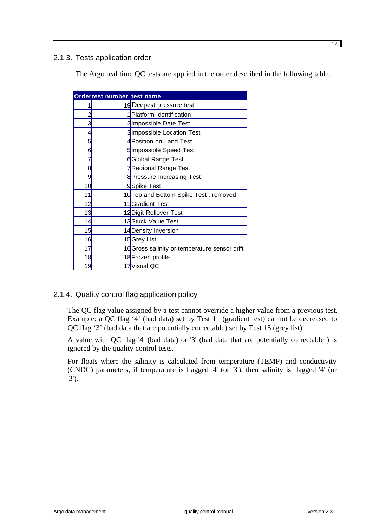# 2.1.3. Tests application order

The Argo real time QC tests are applied in the order described in the following table.

| Ordertest number test name |                                       |                                               |  |  |
|----------------------------|---------------------------------------|-----------------------------------------------|--|--|
|                            |                                       | 19 Deepest pressure test                      |  |  |
| 2                          | 1 Platform Identification             |                                               |  |  |
| 3                          |                                       | 2Impossible Date Test                         |  |  |
| 4                          |                                       | 3 Impossible Location Test                    |  |  |
| 5                          | 4Position on Land Test                |                                               |  |  |
| 6                          | 5Impossible Speed Test                |                                               |  |  |
|                            | 6Global Range Test                    |                                               |  |  |
| 8                          | 7Regional Range Test                  |                                               |  |  |
| 9                          | 8 Pressure Increasing Test            |                                               |  |  |
| 10                         | 9Spike Test                           |                                               |  |  |
| 11                         | 10 Top and Bottom Spike Test: removed |                                               |  |  |
| 12                         | 11 Gradient Test                      |                                               |  |  |
| 13                         |                                       | 12 Digit Rollover Test                        |  |  |
| 14                         |                                       | 13 Stuck Value Test                           |  |  |
| 15                         |                                       | 14 Density Inversion                          |  |  |
|                            | 16<br>15 <mark>Grey List</mark>       |                                               |  |  |
| 17                         |                                       | 16 Gross salinity or temperature sensor drift |  |  |
| 18                         |                                       | 18 Frozen profile                             |  |  |
| 19                         |                                       | 17 Visual QC                                  |  |  |

# 2.1.4. Quality control flag application policy

The QC flag value assigned by a test cannot override a higher value from a previous test. Example: a QC flag '4' (bad data) set by Test 11 (gradient test) cannot be decreased to QC flag '3' (bad data that are potentially correctable) set by Test 15 (grey list).

A value with QC flag '4' (bad data) or '3' (bad data that are potentially correctable ) is ignored by the quality control tests.

For floats where the salinity is calculated from temperature (TEMP) and conductivity (CNDC) parameters, if temperature is flagged '4' (or '3'), then salinity is flagged '4' (or '3').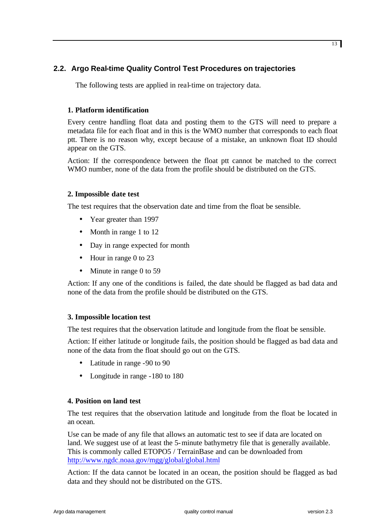# **2.2. Argo Real-time Quality Control Test Procedures on trajectories**

The following tests are applied in real-time on trajectory data.

# **1. Platform identification**

Every centre handling float data and posting them to the GTS will need to prepare a metadata file for each float and in this is the WMO number that corresponds to each float ptt. There is no reason why, except because of a mistake, an unknown float ID should appear on the GTS.

Action: If the correspondence between the float ptt cannot be matched to the correct WMO number, none of the data from the profile should be distributed on the GTS.

# **2. Impossible date test**

The test requires that the observation date and time from the float be sensible.

- Year greater than 1997
- Month in range 1 to 12
- Day in range expected for month
- Hour in range 0 to 23
- Minute in range 0 to 59

Action: If any one of the conditions is failed, the date should be flagged as bad data and none of the data from the profile should be distributed on the GTS.

# **3. Impossible location test**

The test requires that the observation latitude and longitude from the float be sensible.

Action: If either latitude or longitude fails, the position should be flagged as bad data and none of the data from the float should go out on the GTS.

- Latitude in range -90 to 90
- Longitude in range -180 to 180

# **4. Position on land test**

The test requires that the observation latitude and longitude from the float be located in an ocean.

Use can be made of any file that allows an automatic test to see if data are located on land. We suggest use of at least the 5-minute bathymetry file that is generally available. This is commonly called ETOPO5 / TerrainBase and can be downloaded from http://www.ngdc.noaa.gov/mgg/global/global.html

Action: If the data cannot be located in an ocean, the position should be flagged as bad data and they should not be distributed on the GTS.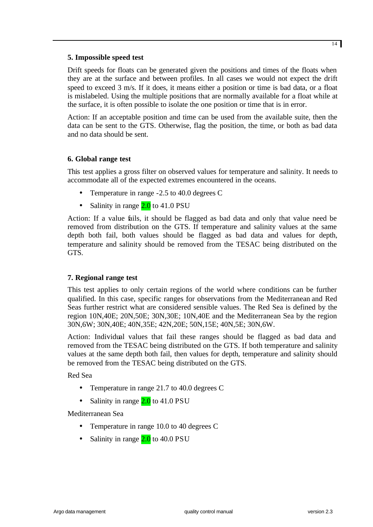# **5. Impossible speed test**

Drift speeds for floats can be generated given the positions and times of the floats when they are at the surface and between profiles. In all cases we would not expect the drift speed to exceed 3 m/s. If it does, it means either a position or time is bad data, or a float is mislabeled. Using the multiple positions that are normally available for a float while at the surface, it is often possible to isolate the one position or time that is in error.

Action: If an acceptable position and time can be used from the available suite, then the data can be sent to the GTS. Otherwise, flag the position, the time, or both as bad data and no data should be sent.

# **6. Global range test**

This test applies a gross filter on observed values for temperature and salinity. It needs to accommodate all of the expected extremes encountered in the oceans.

- Temperature in range -2.5 to 40.0 degrees C
- Salinity in range  $2.0$  to 41.0 PSU

Action: If a value fails, it should be flagged as bad data and only that value need be removed from distribution on the GTS. If temperature and salinity values at the same depth both fail, both values should be flagged as bad data and values for depth, temperature and salinity should be removed from the TESAC being distributed on the GTS.

# **7. Regional range test**

This test applies to only certain regions of the world where conditions can be further qualified. In this case, specific ranges for observations from the Mediterranean and Red Seas further restrict what are considered sensible values. The Red Sea is defined by the region 10N,40E; 20N,50E; 30N,30E; 10N,40E and the Mediterranean Sea by the region 30N,6W; 30N,40E; 40N,35E; 42N,20E; 50N,15E; 40N,5E; 30N,6W.

Action: Individual values that fail these ranges should be flagged as bad data and removed from the TESAC being distributed on the GTS. If both temperature and salinity values at the same depth both fail, then values for depth, temperature and salinity should be removed from the TESAC being distributed on the GTS.

Red Sea

- Temperature in range 21.7 to 40.0 degrees C
- Salinity in range  $2.0$  to 41.0 PSU

Mediterranean Sea

- Temperature in range 10.0 to 40 degrees C
- Salinity in range  $2.0$  to 40.0 PSU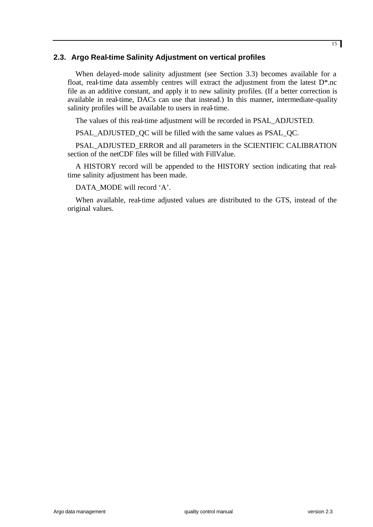# **2.3. Argo Real-time Salinity Adjustment on vertical profiles**

When delayed-mode salinity adjustment (see Section 3.3) becomes available for a float, real-time data assembly centres will extract the adjustment from the latest  $D^*$ .nc file as an additive constant, and apply it to new salinity profiles. (If a better correction is available in real-time, DACs can use that instead.) In this manner, intermediate-quality salinity profiles will be available to users in real-time.

The values of this real-time adjustment will be recorded in PSAL\_ADJUSTED.

PSAL\_ADJUSTED\_QC will be filled with the same values as PSAL\_QC.

PSAL\_ADJUSTED\_ERROR and all parameters in the SCIENTIFIC CALIBRATION section of the netCDF files will be filled with FillValue.

A HISTORY record will be appended to the HISTORY section indicating that realtime salinity adjustment has been made.

DATA\_MODE will record 'A'.

When available, real-time adjusted values are distributed to the GTS, instead of the original values.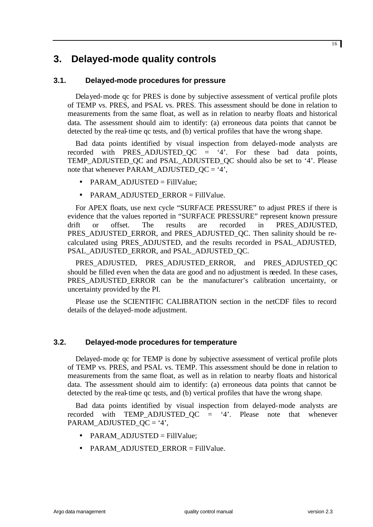# **3. Delayed-mode quality controls**

# **3.1. Delayed-mode procedures for pressure**

Delayed-mode qc for PRES is done by subjective assessment of vertical profile plots of TEMP vs. PRES, and PSAL vs. PRES. This assessment should be done in relation to measurements from the same float, as well as in relation to nearby floats and historical data. The assessment should aim to identify: (a) erroneous data points that cannot be detected by the real-time qc tests, and (b) vertical profiles that have the wrong shape.

Bad data points identified by visual inspection from delayed-mode analysts are recorded with PRES ADJUSTED  $OC = '4'$ . For these bad data points, TEMP\_ADJUSTED\_QC and PSAL\_ADJUSTED\_QC should also be set to '4'. Please note that whenever PARAM\_ADJUSTED\_OC =  $4$ ',

- PARAM\_ADJUSTED = FillValue:
- PARAM\_ADJUSTED\_ERROR = FillValue.

For APEX floats, use next cycle "SURFACE PRESSURE" to adjust PRES if there is evidence that the values reported in "SURFACE PRESSURE" represent known pressure drift or offset. The results are recorded in PRES\_ADJUSTED. PRES\_ADJUSTED\_ERROR, and PRES\_ADJUSTED\_QC. Then salinity should be recalculated using PRES\_ADJUSTED, and the results recorded in PSAL\_ADJUSTED, PSAL\_ADJUSTED\_ERROR, and PSAL\_ADJUSTED\_QC.

PRES\_ADJUSTED, PRES\_ADJUSTED\_ERROR, and PRES\_ADJUSTED\_QC should be filled even when the data are good and no adjustment is needed. In these cases, PRES\_ADJUSTED\_ERROR can be the manufacturer's calibration uncertainty, or uncertainty provided by the PI.

Please use the SCIENTIFIC CALIBRATION section in the netCDF files to record details of the delayed-mode adjustment.

# **3.2. Delayed-mode procedures for temperature**

Delayed-mode qc for TEMP is done by subjective assessment of vertical profile plots of TEMP vs. PRES, and PSAL vs. TEMP. This assessment should be done in relation to measurements from the same float, as well as in relation to nearby floats and historical data. The assessment should aim to identify: (a) erroneous data points that cannot be detected by the real-time qc tests, and (b) vertical profiles that have the wrong shape.

Bad data points identified by visual inspection from delayed-mode analysts are recorded with TEMP ADJUSTED  $OC = '4'$ . Please note that whenever PARAM\_ADJUSTED\_QC = '4',

- PARAM\_ADJUSTED = FillValue;
- PARAM\_ADJUSTED\_ERROR = FillValue.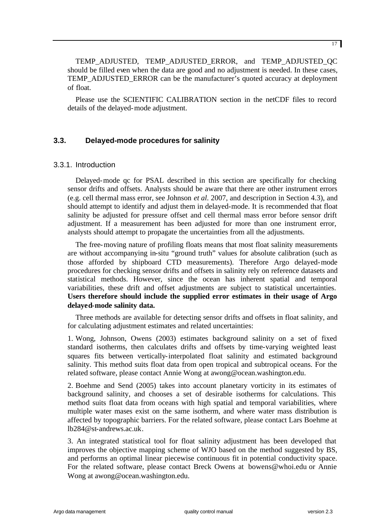TEMP\_ADJUSTED, TEMP\_ADJUSTED\_ERROR, and TEMP\_ADJUSTED\_QC should be filled even when the data are good and no adjustment is needed. In these cases, TEMP\_ADJUSTED\_ERROR can be the manufacturer's quoted accuracy at deployment of float.

Please use the SCIENTIFIC CALIBRATION section in the netCDF files to record details of the delayed-mode adjustment.

# **3.3. Delayed-mode procedures for salinity**

# 3.3.1. Introduction

Delayed-mode qc for PSAL described in this section are specifically for checking sensor drifts and offsets. Analysts should be aware that there are other instrument errors (e.g. cell thermal mass error, see Johnson *et al*. 2007, and description in Section 4.3), and should attempt to identify and adjust them in delayed-mode. It is recommended that float salinity be adjusted for pressure offset and cell thermal mass error before sensor drift adjustment. If a measurement has been adjusted for more than one instrument error, analysts should attempt to propagate the uncertainties from all the adjustments.

The free-moving nature of profiling floats means that most float salinity measurements are without accompanying in-situ "ground truth" values for absolute calibration (such as those afforded by shipboard CTD measurements). Therefore Argo delayed-mode procedures for checking sensor drifts and offsets in salinity rely on reference datasets and statistical methods. However, since the ocean has inherent spatial and temporal variabilities, these drift and offset adjustments are subject to statistical uncertainties. **Users therefore should include the supplied error estimates in their usage of Argo delayed-mode salinity data.**

Three methods are available for detecting sensor drifts and offsets in float salinity, and for calculating adjustment estimates and related uncertainties:

1. Wong, Johnson, Owens (2003) estimates background salinity on a set of fixed standard isotherms, then calculates drifts and offsets by time-varying weighted least squares fits between vertically-interpolated float salinity and estimated background salinity. This method suits float data from open tropical and subtropical oceans. For the related software, please contact Annie Wong at awong@ocean.washington.edu.

2. Boehme and Send (2005) takes into account planetary vorticity in its estimates of background salinity, and chooses a set of desirable isotherms for calculations. This method suits float data from oceans with high spatial and temporal variabilities, where multiple water mases exist on the same isotherm, and where water mass distribution is affected by topographic barriers. For the related software, please contact Lars Boehme at lb284@st-andrews.ac.uk.

3. An integrated statistical tool for float salinity adjustment has been developed that improves the objective mapping scheme of WJO based on the method suggested by BS, and performs an optimal linear piecewise continuous fit in potential conductivity space. For the related software, please contact Breck Owens at bowens@whoi.edu or Annie Wong at awong@ocean.washington.edu.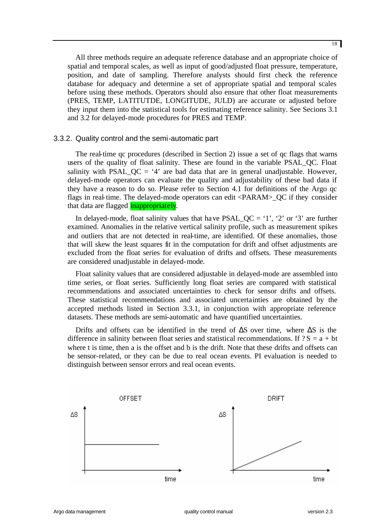All three methods require an adequate reference database and an appropriate choice of spatial and temporal scales, as well as input of good/adjusted float pressure, temperature, position, and date of sampling. Therefore analysts should first check the reference database for adequacy and determine a set of appropriate spatial and temporal scales before using these methods. Operators should also ensure that other float measurements (PRES, TEMP, LATITUTDE, LONGITUDE, JULD) are accurate or adjusted before they input them into the statistical tools for estimating reference salinity. See Secions 3.1 and 3.2 for delayed-mode procedures for PRES and TEMP.

# 3.3.2. Quality control and the semi-automatic part

The real-time qc procedures (described in Section 2) issue a set of qc flags that warns users of the quality of float salinity. These are found in the variable PSAL\_QC. Float salinity with PSAL\_QC = '4' are bad data that are in general unadjustable. However, delayed-mode operators can evaluate the quality and adjustability of these bad data if they have a reason to do so. Please refer to Section 4.1 for definitions of the Argo qc flags in real-time. The delayed-mode operators can edit <PARAM>\_QC if they consider that data are flagged **inappropriately**.

In delayed-mode, float salinity values that have  $PSAL_QC = '1', '2'$  or '3' are further examined. Anomalies in the relative vertical salinity profile, such as measurement spikes and outliers that are not detected in real-time, are identified. Of these anomalies, those that will skew the least squares fit in the computation for drift and offset adjustments are excluded from the float series for evaluation of drifts and offsets. These measurements are considered unadjustable in delayed-mode.

Float salinity values that are considered adjustable in delayed-mode are assembled into time series, or float series. Sufficiently long float series are compared with statistical recommendations and associated uncertainties to check for sensor drifts and offsets. These statistical recommendations and associated uncertainties are obtained by the accepted methods listed in Section 3.3.1, in conjunction with appropriate reference datasets. These methods are semi-automatic and have quantified uncertainties.

Drifts and offsets can be identified in the trend of  $\Delta S$  over time, where  $\Delta S$  is the difference in salinity between float series and statistical recommendations. If  $? S = a + bt$ where t is time, then a is the offset and b is the drift. Note that these drifts and offsets can be sensor-related, or they can be due to real ocean events. PI evaluation is needed to distinguish between sensor errors and real ocean events.

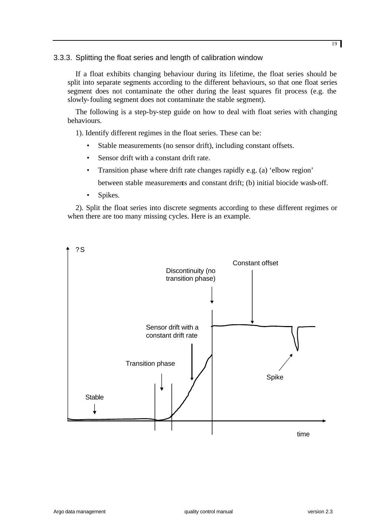# 3.3.3. Splitting the float series and length of calibration window

If a float exhibits changing behaviour during its lifetime, the float series should be split into separate segments according to the different behaviours, so that one float series segment does not contaminate the other during the least squares fit process (e.g. the slowly-fouling segment does not contaminate the stable segment).

The following is a step-by-step guide on how to deal with float series with changing behaviours.

1). Identify different regimes in the float series. These can be:

- Stable measurements (no sensor drift), including constant offsets.
- Sensor drift with a constant drift rate.
- Transition phase where drift rate changes rapidly e.g. (a) 'elbow region'

between stable measurements and constant drift; (b) initial biocide wash-off.

• Spikes.

2). Split the float series into discrete segments according to these different regimes or when there are too many missing cycles. Here is an example.

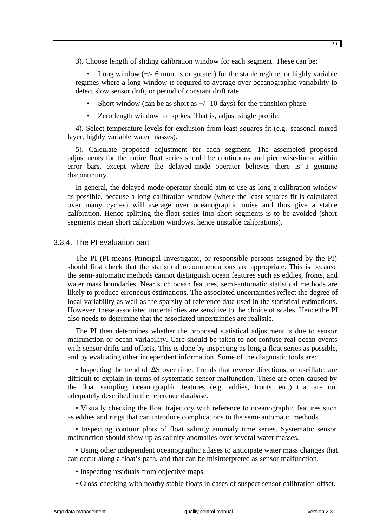3). Choose length of sliding calibration window for each segment. These can be:

• Long window  $(+/- 6$  months or greater) for the stable regime, or highly variable regimes where a long window is required to average over oceanographic variability to detect slow sensor drift, or period of constant drift rate.

- Short window (can be as short as  $+/- 10$  days) for the transition phase.
- Zero length window for spikes. That is, adjust single profile.

4). Select temperature levels for exclusion from least squares fit (e.g. seasonal mixed layer, highly variable water masses).

5). Calculate proposed adjustment for each segment. The assembled proposed adjustments for the entire float series should be continuous and piecewise-linear within error bars, except where the delayed-mode operator believes there is a genuine discontinuity.

In general, the delayed-mode operator should aim to use as long a calibration window as possible, because a long calibration window (where the least squares fit is calculated over many cycles) will average over oceanographic noise and thus give a stable calibration. Hence splitting the float series into short segments is to be avoided (short segments mean short calibration windows, hence unstable calibrations).

### 3.3.4. The PI evaluation part

The PI (PI means Principal Investigator, or responsible persons assigned by the PI) should first check that the statistical recommendations are appropriate. This is because the semi-automatic methods cannot distinguish ocean features such as eddies, fronts, and water mass boundaries. Near such ocean features, semi-automatic statistical methods are likely to produce erroneous estimations. The associated uncertainties reflect the degree of local variability as well as the sparsity of reference data used in the statistical estimations. However, these associated uncertainties are sensitive to the choice of scales. Hence the PI also needs to determine that the associated uncertainties are realistic.

The PI then determines whether the proposed statistical adjustment is due to sensor malfunction or ocean variability. Care should be taken to not confuse real ocean events with sensor drifts and offsets. This is done by inspecting as long a float series as possible, and by evaluating other independent information. Some of the diagnostic tools are:

• Inspecting the trend of ΔS over time. Trends that reverse directions, or oscillate, are difficult to explain in terms of systematic sensor malfunction. These are often caused by the float sampling oceanographic features (e.g. eddies, fronts, etc.) that are not adequately described in the reference database.

• Visually checking the float trajectory with reference to oceanographic features such as eddies and rings that can introduce complications to the semi-automatic methods.

• Inspecting contour plots of float salinity anomaly time series. Systematic sensor malfunction should show up as salinity anomalies over several water masses.

• Using other independent oceanographic atlases to anticipate water mass changes that can occur along a float's path, and that can be misinterpreted as sensor malfunction.

- Inspecting residuals from objective maps.
- Cross-checking with nearby stable floats in cases of suspect sensor calibration offset.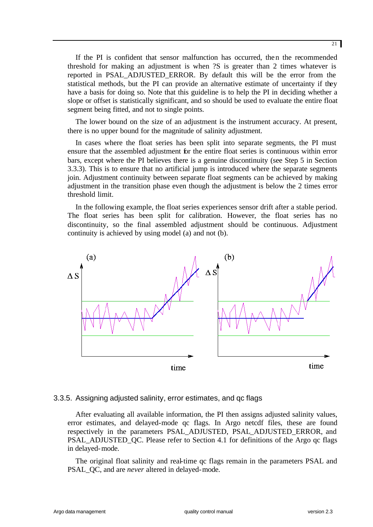If the PI is confident that sensor malfunction has occurred, then the recommended threshold for making an adjustment is when ?S is greater than 2 times whatever is reported in PSAL\_ADJUSTED\_ERROR. By default this will be the error from the statistical methods, but the PI can provide an alternative estimate of uncertainty if they have a basis for doing so. Note that this guideline is to help the PI in deciding whether a slope or offset is statistically significant, and so should be used to evaluate the entire float segment being fitted, and not to single points.

The lower bound on the size of an adjustment is the instrument accuracy. At present, there is no upper bound for the magnitude of salinity adjustment.

In cases where the float series has been split into separate segments, the PI must ensure that the assembled adjustment for the entire float series is continuous within error bars, except where the PI believes there is a genuine discontinuity (see Step 5 in Section 3.3.3). This is to ensure that no artificial jump is introduced where the separate segments join. Adjustment continuity between separate float segments can be achieved by making adjustment in the transition phase even though the adjustment is below the 2 times error threshold limit.

In the following example, the float series experiences sensor drift after a stable period. The float series has been split for calibration. However, the float series has no discontinuity, so the final assembled adjustment should be continuous. Adjustment continuity is achieved by using model (a) and not (b).



# 3.3.5. Assigning adjusted salinity, error estimates, and qc flags

After evaluating all available information, the PI then assigns adjusted salinity values, error estimates, and delayed-mode qc flags. In Argo netcdf files, these are found respectively in the parameters PSAL\_ADJUSTED, PSAL\_ADJUSTED\_ERROR, and PSAL\_ADJUSTED\_QC. Please refer to Section 4.1 for definitions of the Argo qc flags in delayed-mode.

The original float salinity and real-time qc flags remain in the parameters PSAL and PSAL\_QC, and are *never* altered in delayed-mode.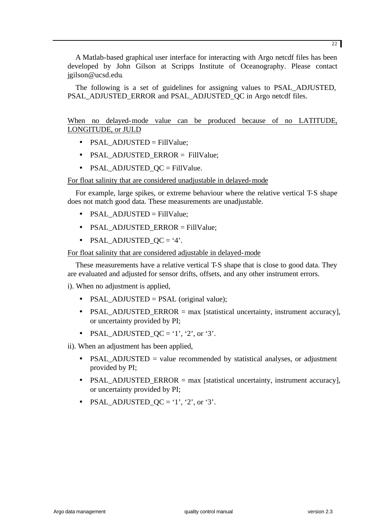A Matlab-based graphical user interface for interacting with Argo netcdf files has been developed by John Gilson at Scripps Institute of Oceanography. Please contact jgilson@ucsd.edu.

The following is a set of guidelines for assigning values to PSAL\_ADJUSTED, PSAL\_ADJUSTED\_ERROR and PSAL\_ADJUSTED\_QC in Argo netcdf files.

When no delayed-mode value can be produced because of no LATITUDE, LONGITUDE, or JULD

- PSAL\_ADJUSTED = FillValue;
- PSAL\_ADJUSTED\_ERROR = FillValue;
- PSAL\_ADJUSTED\_QC = FillValue.

For float salinity that are considered unadjustable in delayed-mode

For example, large spikes, or extreme behaviour where the relative vertical T-S shape does not match good data. These measurements are unadjustable.

- PSAL\_ADJUSTED = FillValue;
- PSAL\_ADJUSTED\_ERROR = FillValue;
- PSAL\_ADJUSTED\_QC = '4'.

For float salinity that are considered adjustable in delayed-mode

These measurements have a relative vertical T-S shape that is close to good data. They are evaluated and adjusted for sensor drifts, offsets, and any other instrument errors.

i). When no adjustment is applied,

- PSAL\_ADJUSTED = PSAL (original value);
- PSAL ADJUSTED ERROR  $=$  max [statistical uncertainty, instrument accuracy], or uncertainty provided by PI;
- PSAL ADJUSTED  $QC = '1', '2', or '3'.$

ii). When an adjustment has been applied,

- PSAL\_ADJUSTED = value recommended by statistical analyses, or adjustment provided by PI;
- PSAL ADJUSTED ERROR  $=$  max [statistical uncertainty, instrument accuracy], or uncertainty provided by PI;
- PSAL ADJUSTED  $OC = '1', '2', or '3'.$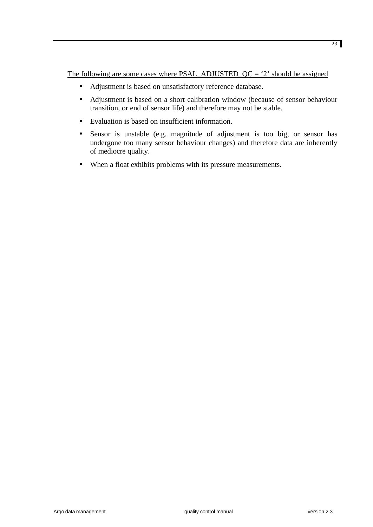The following are some cases where  $PSAL$ <sub>-ADJUSTED</sub><sub>QC</sub> = '2' should be assigned

- Adjustment is based on unsatisfactory reference database.
- Adjustment is based on a short calibration window (because of sensor behaviour transition, or end of sensor life) and therefore may not be stable.
- Evaluation is based on insufficient information.
- Sensor is unstable (e.g. magnitude of adjustment is too big, or sensor has undergone too many sensor behaviour changes) and therefore data are inherently of mediocre quality.
- When a float exhibits problems with its pressure measurements.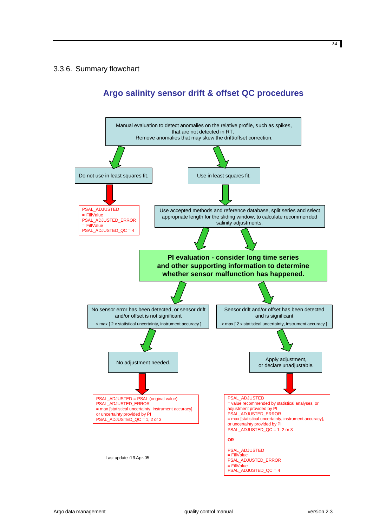# 3.3.6. Summary flowchart

# **Argo salinity sensor drift & offset QC procedures**

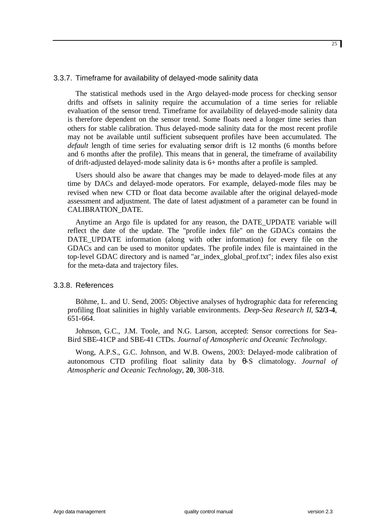# 3.3.7. Timeframe for availability of delayed-mode salinity data

The statistical methods used in the Argo delayed-mode process for checking sensor drifts and offsets in salinity require the accumulation of a time series for reliable evaluation of the sensor trend. Timeframe for availability of delayed-mode salinity data is therefore dependent on the sensor trend. Some floats need a longer time series than others for stable calibration. Thus delayed-mode salinity data for the most recent profile may not be available until sufficient subsequent profiles have been accumulated. The *default* length of time series for evaluating sensor drift is 12 months (6 months before and 6 months after the profile). This means that in general, the timeframe of availability of drift-adjusted delayed-mode salinity data is 6+ months after a profile is sampled.

Users should also be aware that changes may be made to delayed-mode files at any time by DACs and delayed-mode operators. For example, delayed-mode files may be revised when new CTD or float data become available after the original delayed-mode assessment and adjustment. The date of latest adjustment of a parameter can be found in CALIBRATION\_DATE.

Anytime an Argo file is updated for any reason, the DATE\_UPDATE variable will reflect the date of the update. The "profile index file" on the GDACs contains the DATE\_UPDATE information (along with other information) for every file on the GDACs and can be used to monitor updates. The profile index file is maintained in the top-level GDAC directory and is named "ar\_index\_global\_prof.txt"; index files also exist for the meta-data and trajectory files.

# 3.3.8. References

Böhme, L. and U. Send, 2005: Objective analyses of hydrographic data for referencing profiling float salinities in highly variable environments. *Deep-Sea Research II*, **52/3-4**, 651-664.

Johnson, G.C., J.M. Toole, and N.G. Larson, accepted: Sensor corrections for Sea-Bird SBE-41CP and SBE-41 CTDs. *Journal of Atmospheric and Oceanic Technology.*

Wong, A.P.S., G.C. Johnson, and W.B. Owens, 2003: Delayed-mode calibration of autonomous CTD profiling float salinity data by θ-S climatology. *Journal of Atmospheric and Oceanic Technology*, **20**, 308-318.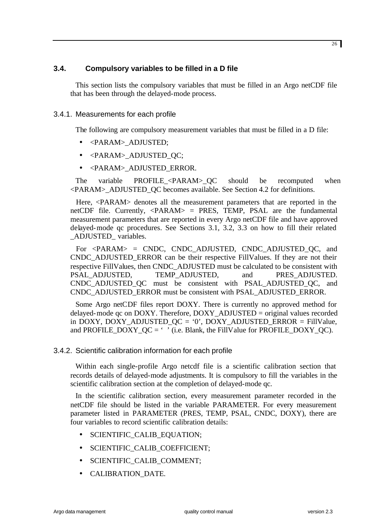# **3.4. Compulsory variables to be filled in a D file**

This section lists the compulsory variables that must be filled in an Argo netCDF file that has been through the delayed-mode process.

# 3.4.1. Measurements for each profile

The following are compulsory measurement variables that must be filled in a D file:

- <PARAM>\_ADJUSTED;
- <PARAM>\_ADJUSTED\_QC;
- <PARAM>\_ADJUSTED\_ERROR.

The variable PROFILE <PARAM> QC should be recomputed when <PARAM>\_ADJUSTED\_QC becomes available. See Section 4.2 for definitions.

Here, <PARAM> denotes all the measurement parameters that are reported in the netCDF file. Currently,  $\langle PARAM \rangle$  = PRES, TEMP, PSAL are the fundamental measurement parameters that are reported in every Argo netCDF file and have approved delayed-mode qc procedures. See Sections 3.1, 3.2, 3.3 on how to fill their related \_ADJUSTED\_ variables.

For <PARAM> = CNDC, CNDC\_ADJUSTED, CNDC\_ADJUSTED\_QC, and CNDC\_ADJUSTED\_ERROR can be their respective FillValues. If they are not their respective FillValues, then CNDC\_ADJUSTED must be calculated to be consistent with PSAL\_ADJUSTED, TEMP\_ADJUSTED, and PRES\_ADJUSTED. CNDC\_ADJUSTED\_QC must be consistent with PSAL\_ADJUSTED\_QC, and CNDC\_ADJUSTED\_ERROR must be consistent with PSAL\_ADJUSTED\_ERROR.

Some Argo netCDF files report DOXY. There is currently no approved method for delayed-mode  $qc$  on DOXY. Therefore, DOXY ADJUSTED = original values recorded in DOXY, DOXY\_ADJUSTED\_QC = '0', DOXY\_ADJUSTED\_ERROR = FillValue, and PROFILE\_DOXY\_QC =  $\cdot$  ' (i.e. Blank, the FillValue for PROFILE\_DOXY\_QC).

# 3.4.2. Scientific calibration information for each profile

Within each single-profile Argo netcdf file is a scientific calibration section that records details of delayed-mode adjustments. It is compulsory to fill the variables in the scientific calibration section at the completion of delayed-mode qc.

In the scientific calibration section, every measurement parameter recorded in the netCDF file should be listed in the variable PARAMETER. For every measurement parameter listed in PARAMETER (PRES, TEMP, PSAL, CNDC, DOXY), there are four variables to record scientific calibration details:

- SCIENTIFIC CALIB EQUATION;
- SCIENTIFIC\_CALIB\_COEFFICIENT;
- SCIENTIFIC\_CALIB\_COMMENT;
- CALIBRATION DATE.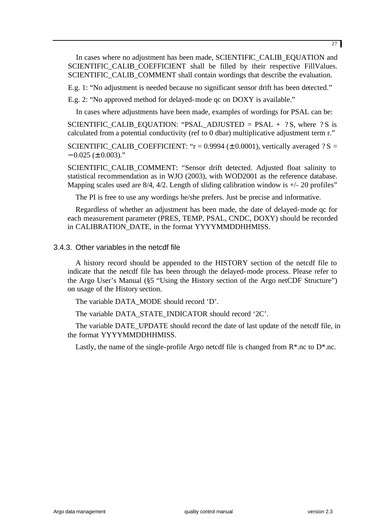In cases where no adjustment has been made, SCIENTIFIC\_CALIB\_EQUATION and SCIENTIFIC CALIB COEFFICIENT shall be filled by their respective FillValues. SCIENTIFIC\_CALIB\_COMMENT shall contain wordings that describe the evaluation.

E.g. 1: "No adjustment is needed because no significant sensor drift has been detected."

E.g. 2: "No approved method for delayed-mode qc on DOXY is available."

In cases where adjustments have been made, examples of wordings for PSAL can be:

SCIENTIFIC CALIB EQUATION: "PSAL ADJUSTED = PSAL  $+$  ? S, where ? S is calculated from a potential conductivity (ref to 0 dbar) multiplicative adjustment term r."

SCIENTIFIC\_CALIB\_COEFFICIENT: " $r = 0.9994 \ (\pm 0.0001)$ , vertically averaged ? S =  $-0.025 \ (\pm 0.003)$ ."

SCIENTIFIC\_CALIB\_COMMENT: "Sensor drift detected. Adjusted float salinity to statistical recommendation as in WJO (2003), with WOD2001 as the reference database. Mapping scales used are  $8/4$ ,  $4/2$ . Length of sliding calibration window is  $+/-20$  profiles"

The PI is free to use any wordings he/she prefers. Just be precise and informative.

Regardless of whether an adjustment has been made, the date of delayed-mode qc for each measurement parameter (PRES, TEMP, PSAL, CNDC, DOXY) should be recorded in CALIBRATION\_DATE, in the format YYYYMMDDHHMISS.

### 3.4.3. Other variables in the netcdf file

A history record should be appended to the HISTORY section of the netcdf file to indicate that the netcdf file has been through the delayed-mode process. Please refer to the Argo User's Manual (§5 "Using the History section of the Argo netCDF Structure") on usage of the History section.

The variable DATA\_MODE should record 'D'.

The variable DATA\_STATE\_INDICATOR should record '2C'.

The variable DATE\_UPDATE should record the date of last update of the netcdf file, in the format YYYYMMDDHHMISS.

Lastly, the name of the single-profile Argo netcdf file is changed from  $R^*$ .nc to  $D^*$ .nc.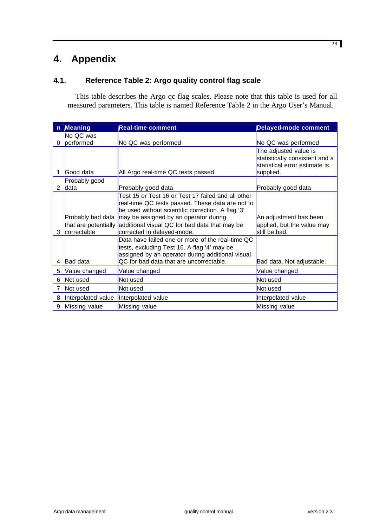# **4. Appendix**

# **4.1. Reference Table 2: Argo quality control flag scale**

This table describes the Argo qc flag scales. Please note that this table is used for all measured parameters. This table is named Reference Table 2 in the Argo User's Manual.

| n | <b>Meaning</b>       | <b>Real-time comment</b>                                  | <b>Delayed-mode comment</b>                             |
|---|----------------------|-----------------------------------------------------------|---------------------------------------------------------|
|   | No QC was            |                                                           |                                                         |
| 0 | performed            | No QC was performed                                       | No QC was performed                                     |
|   |                      |                                                           | The adjusted value is<br>statistically consistent and a |
|   |                      |                                                           | statistical error estimate is                           |
|   | Good data            | All Argo real-time QC tests passed.                       | supplied.                                               |
|   | Probably good        |                                                           |                                                         |
| 2 | ldata                | Probably good data                                        | Probably good data                                      |
|   |                      | Test 15 or Test 16 or Test 17 failed and all other        |                                                         |
|   |                      | real-time QC tests passed. These data are not to          |                                                         |
|   |                      | be used without scientific correction. A flag '3'         |                                                         |
|   |                      | Probably bad data   may be assigned by an operator during | An adjustment has been                                  |
|   | that are potentially | additional visual QC for bad data that may be             | applied, but the value may                              |
| 3 | correctable          | corrected in delayed-mode.                                | still be bad.                                           |
|   |                      | Data have failed one or more of the real-time QC          |                                                         |
|   |                      | tests, excluding Test 16. A flag '4' may be               |                                                         |
|   |                      | assigned by an operator during additional visual          |                                                         |
| 4 | <b>Bad data</b>      | QC for bad data that are uncorrectable.                   | Bad data. Not adjustable.                               |
| 5 | Value changed        | Value changed                                             | Value changed                                           |
| 6 | <b>Not</b> used      | Not used                                                  | Not used                                                |
| 7 | Not used             | Not used                                                  | Not used                                                |
| 8 | Interpolated value   | Interpolated value                                        | Interpolated value                                      |
|   | 9 Missing value      | Missing value                                             | Missing value                                           |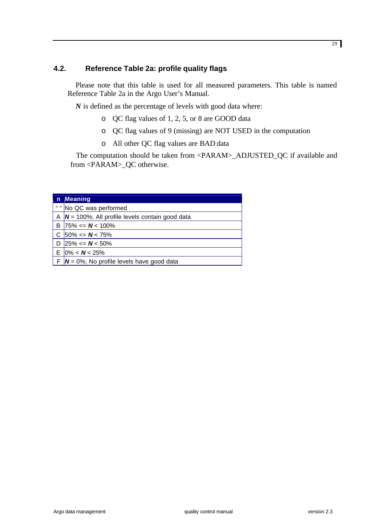# **4.2. Reference Table 2a: profile quality flags**

Please note that this table is used for all measured parameters. This table is named Reference Table 2a in the Argo User's Manual.

*N* is defined as the percentage of levels with good data where:

- o QC flag values of 1, 2, 5, or 8 are GOOD data
- o QC flag values of 9 (missing) are NOT USED in the computation
- o All other QC flag values are BAD data

The computation should be taken from <PARAM>\_ADJUSTED\_QC if available and from <PARAM>\_QC otherwise.

| n Meaning                                             |
|-------------------------------------------------------|
| " " No QC was performed                               |
| A $ N = 100\%$ ; All profile levels contain good data |
| B  75% $\leq N$ < 100%                                |
| C $50\% \leq N \leq 75\%$                             |
| D 25% $\leq N \leq 50\%$                              |
| E $0\% < N < 25\%$                                    |
| $F/N = 0\%$ ; No profile levels have good data        |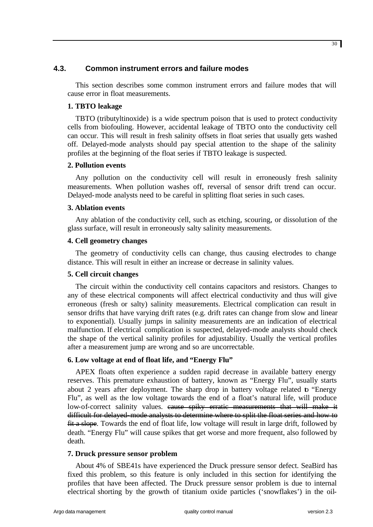# **4.3. Common instrument errors and failure modes**

This section describes some common instrument errors and failure modes that will cause error in float measurements.

# **1. TBTO leakage**

TBTO (tributyltinoxide) is a wide spectrum poison that is used to protect conductivity cells from biofouling. However, accidental leakage of TBTO onto the conductivity cell can occur. This will result in fresh salinity offsets in float series that usually gets washed off. Delayed-mode analysts should pay special attention to the shape of the salinity profiles at the beginning of the float series if TBTO leakage is suspected.

# **2. Pollution events**

Any pollution on the conductivity cell will result in erroneously fresh salinity measurements. When pollution washes off, reversal of sensor drift trend can occur. Delayed-mode analysts need to be careful in splitting float series in such cases.

# **3. Ablation events**

Any ablation of the conductivity cell, such as etching, scouring, or dissolution of the glass surface, will result in erroneously salty salinity measurements.

# **4. Cell geometry changes**

The geometry of conductivity cells can change, thus causing electrodes to change distance. This will result in either an increase or decrease in salinity values.

# **5. Cell circuit changes**

The circuit within the conductivity cell contains capacitors and resistors. Changes to any of these electrical components will affect electrical conductivity and thus will give erroneous (fresh or salty) salinity measurements. Electrical complication can result in sensor drifts that have varying drift rates (e.g. drift rates can change from slow and linear to exponential). Usually jumps in salinity measurements are an indication of electrical malfunction. If electrical complication is suspected, delayed-mode analysts should check the shape of the vertical salinity profiles for adjustability. Usually the vertical profiles after a measurement jump are wrong and so are uncorrectable.

# **6. Low voltage at end of float life, and "Energy Flu"**

APEX floats often experience a sudden rapid decrease in available battery energy reserves. This premature exhaustion of battery, known as "Energy Flu", usually starts about 2 years after deployment. The sharp drop in battery voltage related to "Energy Flu", as well as the low voltage towards the end of a float's natural life, will produce low-of-correct salinity values. eause spiky erratic measurements that will make it difficult for delayed-mode analysts to determine where to split the float series and how to fit a slope. Towards the end of float life, low voltage will result in large drift, followed by death. "Energy Flu" will cause spikes that get worse and more frequent, also followed by death.

# **7. Druck pressure sensor problem**

About 4% of SBE41s have experienced the Druck pressure sensor defect. SeaBird has fixed this problem, so this feature is only included in this section for identifying the profiles that have been affected. The Druck pressure sensor problem is due to internal electrical shorting by the growth of titanium oxide particles ('snowflakes') in the oil-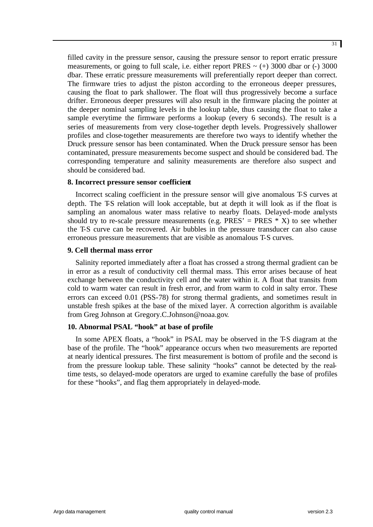filled cavity in the pressure sensor, causing the pressure sensor to report erratic pressure measurements, or going to full scale, i.e. either report PRES  $\sim$  (+) 3000 dbar or (-) 3000 dbar. These erratic pressure measurements will preferentially report deeper than correct. The firmware tries to adjust the piston according to the erroneous deeper pressures, causing the float to park shallower. The float will thus progressively become a surface drifter. Erroneous deeper pressures will also result in the firmware placing the pointer at the deeper nominal sampling levels in the lookup table, thus causing the float to take a sample everytime the firmware performs a lookup (every 6 seconds). The result is a series of measurements from very close-together depth levels. Progressively shallower profiles and close-together measurements are therefore two ways to identify whether the Druck pressure sensor has been contaminated. When the Druck pressure sensor has been contaminated, pressure measurements become suspect and should be considered bad. The corresponding temperature and salinity measurements are therefore also suspect and should be considered bad.

### **8. Incorrect pressure sensor coefficient**

Incorrect scaling coefficient in the pressure sensor will give anomalous T-S curves at depth. The T-S relation will look acceptable, but at depth it will look as if the float is sampling an anomalous water mass relative to nearby floats. Delayed-mode analysts should try to re-scale pressure measurements (e.g. PRES' = PRES  $*$  X) to see whether the T-S curve can be recovered. Air bubbles in the pressure transducer can also cause erroneous pressure measurements that are visible as anomalous T-S curves.

### **9. Cell thermal mass error**

Salinity reported immediately after a float has crossed a strong thermal gradient can be in error as a result of conductivity cell thermal mass. This error arises because of heat exchange between the conductivity cell and the water within it. A float that transits from cold to warm water can result in fresh error, and from warm to cold in salty error. These errors can exceed 0.01 (PSS-78) for strong thermal gradients, and sometimes result in unstable fresh spikes at the base of the mixed layer. A correction algorithm is available from Greg Johnson at Gregory.C.Johnson@noaa.gov.

# **10. Abnormal PSAL "hook" at base of profile**

In some APEX floats, a "hook" in PSAL may be observed in the T-S diagram at the base of the profile. The "hook" appearance occurs when two measurements are reported at nearly identical pressures. The first measurement is bottom of profile and the second is from the pressure lookup table. These salinity "hooks" cannot be detected by the realtime tests, so delayed-mode operators are urged to examine carefully the base of profiles for these "hooks", and flag them appropriately in delayed-mode.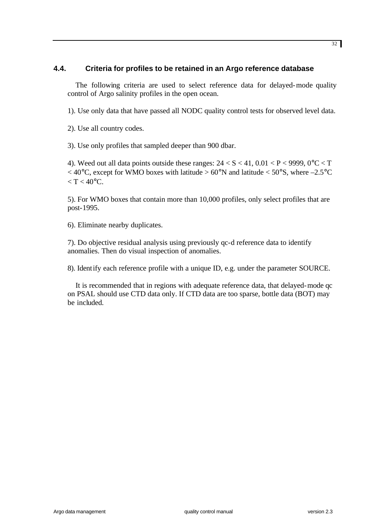# **4.4. Criteria for profiles to be retained in an Argo reference database**

The following criteria are used to select reference data for delayed-mode quality control of Argo salinity profiles in the open ocean.

1). Use only data that have passed all NODC quality control tests for observed level data.

2). Use all country codes.

3). Use only profiles that sampled deeper than 900 dbar.

4). Weed out all data points outside these ranges:  $24 < S < 41$ ,  $0.01 < P < 9999$ ,  $0^{\circ}C < T$  $<$  40°C, except for WMO boxes with latitude > 60°N and latitude < 50°S, where -2.5°C  $\langle T \rangle < 40^{\circ}$ C.

5). For WMO boxes that contain more than 10,000 profiles, only select profiles that are post-1995.

6). Eliminate nearby duplicates.

7). Do objective residual analysis using previously qc-d reference data to identify anomalies. Then do visual inspection of anomalies.

8). Identify each reference profile with a unique ID, e.g. under the parameter SOURCE.

It is recommended that in regions with adequate reference data, that delayed-mode qc on PSAL should use CTD data only. If CTD data are too sparse, bottle data (BOT) may be included.